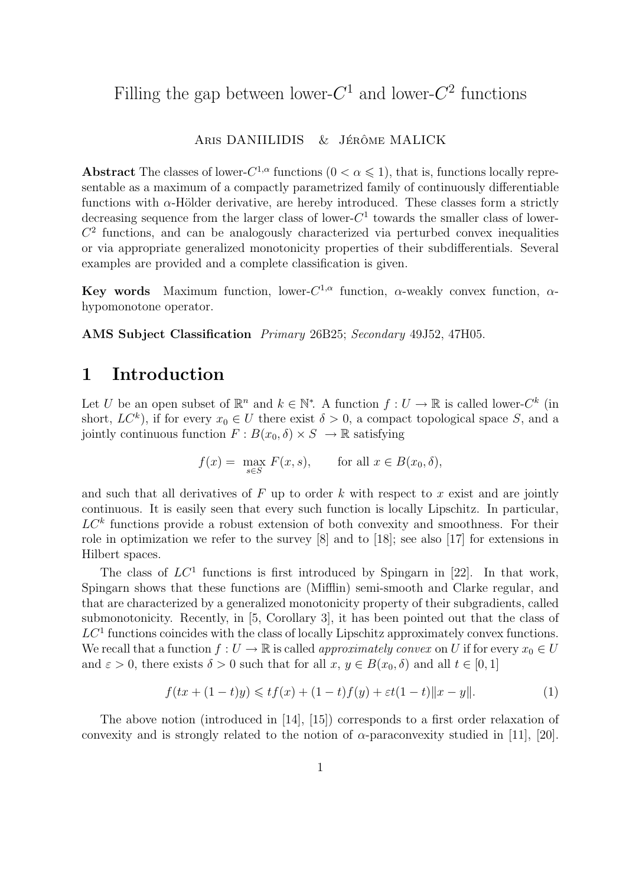# Filling the gap between lower- $C^1$  and lower- $C^2$  functions

#### ARIS DANIILIDIS & JÉRÔME MALICK

Abstract The classes of lower- $C^{1,\alpha}$  functions  $(0 < \alpha \leq 1)$ , that is, functions locally representable as a maximum of a compactly parametrized family of continuously differentiable functions with  $\alpha$ -Hölder derivative, are hereby introduced. These classes form a strictly decreasing sequence from the larger class of lower- $C<sup>1</sup>$  towards the smaller class of lower- $C<sup>2</sup>$  functions, and can be analogously characterized via perturbed convex inequalities or via appropriate generalized monotonicity properties of their subdifferentials. Several examples are provided and a complete classification is given.

**Key words** Maximum function, lower- $C^{1,\alpha}$  function,  $\alpha$ -weakly convex function,  $\alpha$ hypomonotone operator.

AMS Subject Classification Primary 26B25; Secondary 49J52, 47H05.

### 1 Introduction

Let U be an open subset of  $\mathbb{R}^n$  and  $k \in \mathbb{N}^*$ . A function  $f: U \to \mathbb{R}$  is called lower- $C^k$  (in short,  $LC^k$ ), if for every  $x_0 \in U$  there exist  $\delta > 0$ , a compact topological space S, and a jointly continuous function  $F : B(x_0, \delta) \times S \to \mathbb{R}$  satisfying

$$
f(x) = \max_{s \in S} F(x, s), \quad \text{for all } x \in B(x_0, \delta),
$$

and such that all derivatives of  $F$  up to order  $k$  with respect to  $x$  exist and are jointly continuous. It is easily seen that every such function is locally Lipschitz. In particular,  $LC<sup>k</sup>$  functions provide a robust extension of both convexity and smoothness. For their role in optimization we refer to the survey [8] and to [18]; see also [17] for extensions in Hilbert spaces.

The class of  $LC<sup>1</sup>$  functions is first introduced by Spingarn in [22]. In that work, Spingarn shows that these functions are (Mifflin) semi-smooth and Clarke regular, and that are characterized by a generalized monotonicity property of their subgradients, called submonotonicity. Recently, in [5, Corollary 3], it has been pointed out that the class of  $LC<sup>1</sup>$  functions coincides with the class of locally Lipschitz approximately convex functions. We recall that a function  $f: U \to \mathbb{R}$  is called *approximately convex* on U if for every  $x_0 \in U$ and  $\varepsilon > 0$ , there exists  $\delta > 0$  such that for all  $x, y \in B(x_0, \delta)$  and all  $t \in [0, 1]$ 

$$
f(tx + (1-t)y) \leqslant tf(x) + (1-t)f(y) + \varepsilon t(1-t) \|x - y\|.
$$
 (1)

The above notion (introduced in [14], [15]) corresponds to a first order relaxation of convexity and is strongly related to the notion of  $\alpha$ -paraconvexity studied in [11], [20].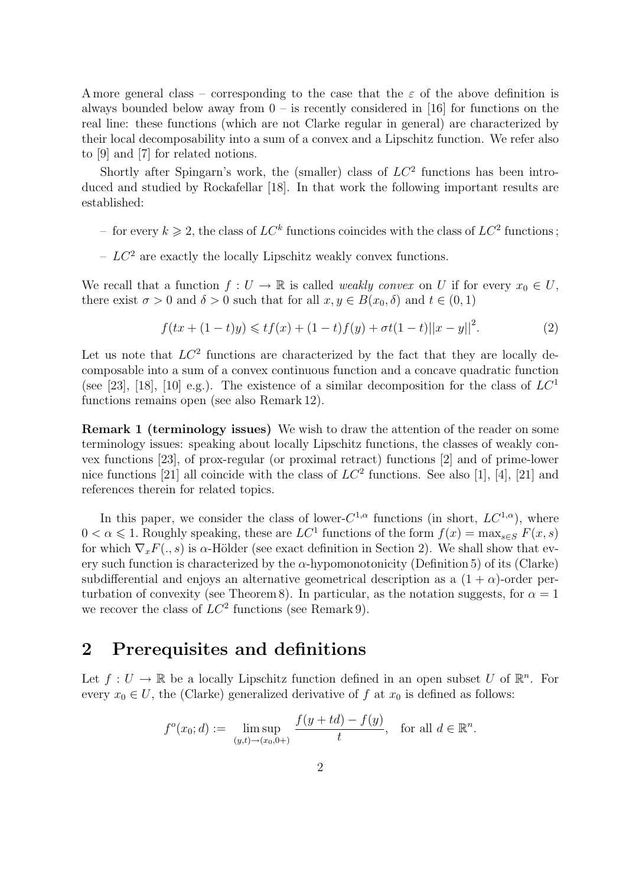A more general class – corresponding to the case that the  $\varepsilon$  of the above definition is always bounded below away from  $0 -$  is recently considered in [16] for functions on the real line: these functions (which are not Clarke regular in general) are characterized by their local decomposability into a sum of a convex and a Lipschitz function. We refer also to [9] and [7] for related notions.

Shortly after Spingarn's work, the (smaller) class of  $LC^2$  functions has been introduced and studied by Rockafellar [18]. In that work the following important results are established:

- for every  $k \geqslant 2$ , the class of  $LC^k$  functions coincides with the class of  $LC^2$  functions;
- $LC^2$  are exactly the locally Lipschitz weakly convex functions.

We recall that a function  $f: U \to \mathbb{R}$  is called *weakly convex* on U if for every  $x_0 \in U$ , there exist  $\sigma > 0$  and  $\delta > 0$  such that for all  $x, y \in B(x_0, \delta)$  and  $t \in (0, 1)$ 

$$
f(tx + (1-t)y) \leqslant tf(x) + (1-t)f(y) + \sigma t(1-t)||x - y||^2.
$$
 (2)

Let us note that  $LC^2$  functions are characterized by the fact that they are locally decomposable into a sum of a convex continuous function and a concave quadratic function (see [23], [18], [10] e.g.). The existence of a similar decomposition for the class of  $LC<sup>1</sup>$ functions remains open (see also Remark 12).

Remark 1 (terminology issues) We wish to draw the attention of the reader on some terminology issues: speaking about locally Lipschitz functions, the classes of weakly convex functions [23], of prox-regular (or proximal retract) functions [2] and of prime-lower nice functions [21] all coincide with the class of  $LC^2$  functions. See also [1], [4], [21] and references therein for related topics.

In this paper, we consider the class of lower- $C^{1,\alpha}$  functions (in short,  $LC^{1,\alpha}$ ), where  $0 < \alpha \leq 1$ . Roughly speaking, these are  $LC^1$  functions of the form  $f(x) = \max_{s \in S} F(x, s)$ for which  $\nabla_x F(x, s)$  is  $\alpha$ -Hölder (see exact definition in Section 2). We shall show that every such function is characterized by the  $\alpha$ -hypomonotonicity (Definition 5) of its (Clarke) subdifferential and enjoys an alternative geometrical description as a  $(1 + \alpha)$ -order perturbation of convexity (see Theorem 8). In particular, as the notation suggests, for  $\alpha = 1$ we recover the class of  $LC^2$  functions (see Remark 9).

#### 2 Prerequisites and definitions

Let  $f: U \to \mathbb{R}$  be a locally Lipschitz function defined in an open subset U of  $\mathbb{R}^n$ . For every  $x_0 \in U$ , the (Clarke) generalized derivative of f at  $x_0$  is defined as follows:

$$
f^{o}(x_0; d) := \limsup_{(y,t)\to(x_0,0+)} \frac{f(y+td) - f(y)}{t}
$$
, for all  $d \in \mathbb{R}^n$ .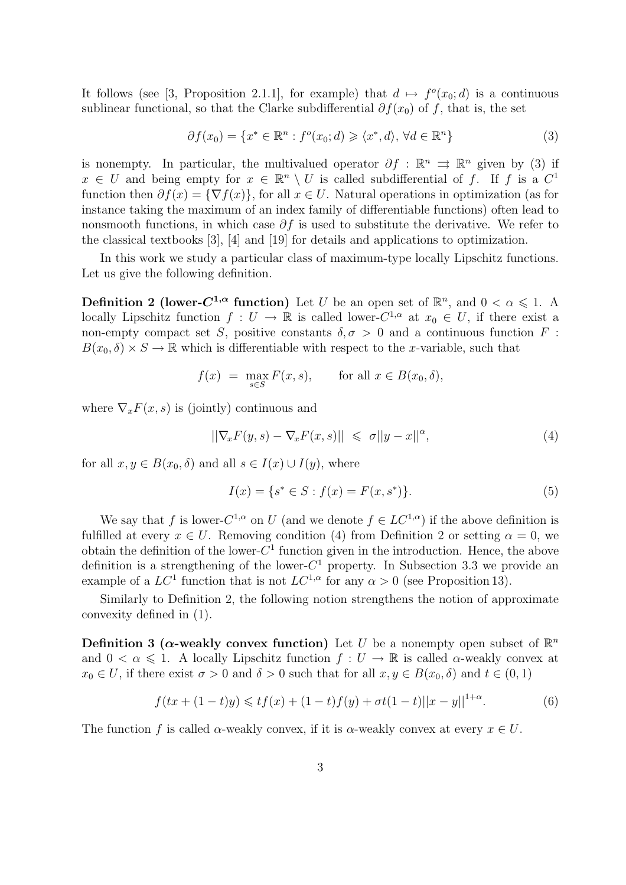It follows (see [3, Proposition 2.1.1], for example) that  $d \mapsto f^o(x_0; d)$  is a continuous sublinear functional, so that the Clarke subdifferential  $\partial f(x_0)$  of f, that is, the set

$$
\partial f(x_0) = \{ x^* \in \mathbb{R}^n : f^o(x_0; d) \geq \langle x^*, d \rangle, \forall d \in \mathbb{R}^n \}
$$
\n(3)

is nonempty. In particular, the multivalued operator  $\partial f : \mathbb{R}^n \implies \mathbb{R}^n$  given by (3) if  $x \in U$  and being empty for  $x \in \mathbb{R}^n \setminus U$  is called subdifferential of f. If f is a  $C^1$ function then  $\partial f(x) = \{\nabla f(x)\}\)$ , for all  $x \in U$ . Natural operations in optimization (as for instance taking the maximum of an index family of differentiable functions) often lead to nonsmooth functions, in which case  $\partial f$  is used to substitute the derivative. We refer to the classical textbooks [3], [4] and [19] for details and applications to optimization.

In this work we study a particular class of maximum-type locally Lipschitz functions. Let us give the following definition.

**Definition 2 (lower-C<sup>1,** $\alpha$ **</sup> function)** Let U be an open set of  $\mathbb{R}^n$ , and  $0 < \alpha \leq 1$ . A locally Lipschitz function  $f: U \to \mathbb{R}$  is called lower- $C^{1,\alpha}$  at  $x_0 \in U$ , if there exist a non-empty compact set S, positive constants  $\delta, \sigma > 0$  and a continuous function F:  $B(x_0, \delta) \times S \to \mathbb{R}$  which is differentiable with respect to the x-variable, such that

$$
f(x) = \max_{s \in S} F(x, s), \quad \text{for all } x \in B(x_0, \delta),
$$

where  $\nabla_x F(x, s)$  is (jointly) continuous and

$$
||\nabla_x F(y,s) - \nabla_x F(x,s)|| \leq \sigma ||y-x||^{\alpha}, \qquad (4)
$$

for all  $x, y \in B(x_0, \delta)$  and all  $s \in I(x) \cup I(y)$ , where

$$
I(x) = \{ s^* \in S : f(x) = F(x, s^*) \}.
$$
 (5)

We say that f is lower- $C^{1,\alpha}$  on U (and we denote  $f \in LC^{1,\alpha}$ ) if the above definition is fulfilled at every  $x \in U$ . Removing condition (4) from Definition 2 or setting  $\alpha = 0$ , we obtain the definition of the lower- $C<sup>1</sup>$  function given in the introduction. Hence, the above definition is a strengthening of the lower- $C<sup>1</sup>$  property. In Subsection 3.3 we provide an example of a  $LC^1$  function that is not  $LC^{1,\alpha}$  for any  $\alpha > 0$  (see Proposition 13).

Similarly to Definition 2, the following notion strengthens the notion of approximate convexity defined in (1).

Definition 3 ( $\alpha$ -weakly convex function) Let U be a nonempty open subset of  $\mathbb{R}^n$ and  $0 < \alpha \leq 1$ . A locally Lipschitz function  $f: U \to \mathbb{R}$  is called  $\alpha$ -weakly convex at  $x_0 \in U$ , if there exist  $\sigma > 0$  and  $\delta > 0$  such that for all  $x, y \in B(x_0, \delta)$  and  $t \in (0, 1)$ 

$$
f(tx + (1-t)y) \leqslant tf(x) + (1-t)f(y) + \sigma t(1-t)||x - y||^{1+\alpha}.
$$
 (6)

The function f is called  $\alpha$ -weakly convex, if it is  $\alpha$ -weakly convex at every  $x \in U$ .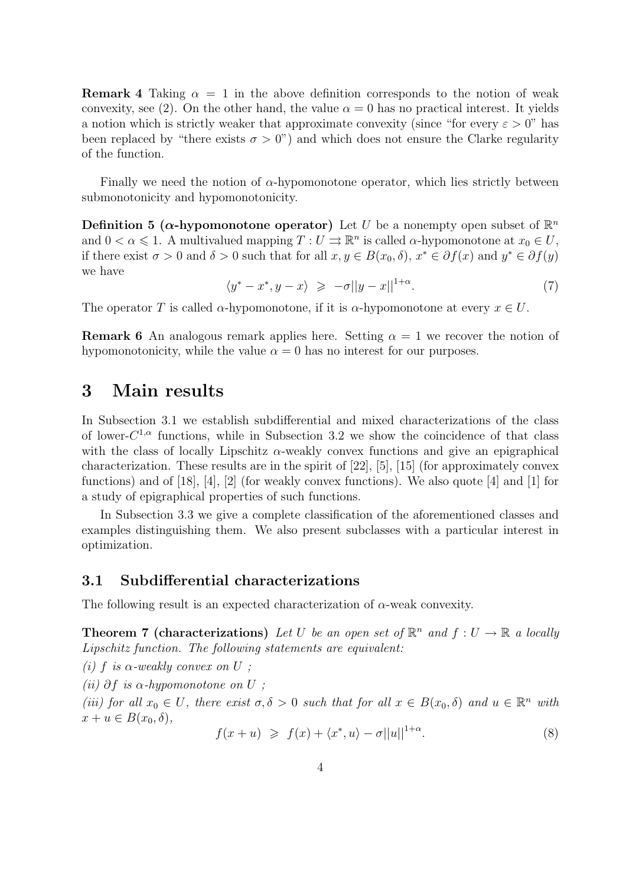**Remark 4** Taking  $\alpha = 1$  in the above definition corresponds to the notion of weak convexity, see (2). On the other hand, the value  $\alpha = 0$  has no practical interest. It yields a notion which is strictly weaker that approximate convexity (since "for every  $\varepsilon > 0$ " has been replaced by "there exists  $\sigma > 0$ ") and which does not ensure the Clarke regularity of the function.

Finally we need the notion of  $\alpha$ -hypomonotone operator, which lies strictly between submonotonicity and hypomonotonicity.

**Definition 5 (** $\alpha$ **-hypomonotone operator)** Let U be a nonempty open subset of  $\mathbb{R}^n$ and  $0 < \alpha \leq 1$ . A multivalued mapping  $T: U \rightrightarrows \mathbb{R}^n$  is called  $\alpha$ -hypomonotone at  $x_0 \in U$ , if there exist  $\sigma > 0$  and  $\delta > 0$  such that for all  $x, y \in B(x_0, \delta), x^* \in \partial f(x)$  and  $y^* \in \partial f(y)$ we have

 $\langle y^* - x^*, y - x \rangle \geqslant -\sigma ||y - x||^{1+\alpha}$ . (7)

The operator T is called  $\alpha$ -hypomonotone, if it is  $\alpha$ -hypomonotone at every  $x \in U$ .

**Remark 6** An analogous remark applies here. Setting  $\alpha = 1$  we recover the notion of hypomonotonicity, while the value  $\alpha = 0$  has no interest for our purposes.

### 3 Main results

In Subsection 3.1 we establish subdifferential and mixed characterizations of the class of lower- $C^{1,\alpha}$  functions, while in Subsection 3.2 we show the coincidence of that class with the class of locally Lipschitz  $\alpha$ -weakly convex functions and give an epigraphical characterization. These results are in the spirit of [22], [5], [15] (for approximately convex functions) and of [18], [4], [2] (for weakly convex functions). We also quote [4] and [1] for a study of epigraphical properties of such functions.

In Subsection 3.3 we give a complete classification of the aforementioned classes and examples distinguishing them. We also present subclasses with a particular interest in optimization.

#### 3.1 Subdifferential characterizations

The following result is an expected characterization of  $\alpha$ -weak convexity.

**Theorem 7 (characterizations)** Let U be an open set of  $\mathbb{R}^n$  and  $f: U \to \mathbb{R}$  a locally Lipschitz function. The following statements are equivalent:

(i) f is  $\alpha$ -weakly convex on U;

(ii)  $\partial f$  is  $\alpha$ -hypomonotone on U;

(iii) for all  $x_0 \in U$ , there exist  $\sigma, \delta > 0$  such that for all  $x \in B(x_0, \delta)$  and  $u \in \mathbb{R}^n$  with  $x + u \in B(x_0, \delta),$ 

$$
f(x+u) \geq f(x) + \langle x^*, u \rangle - \sigma ||u||^{1+\alpha}.
$$
 (8)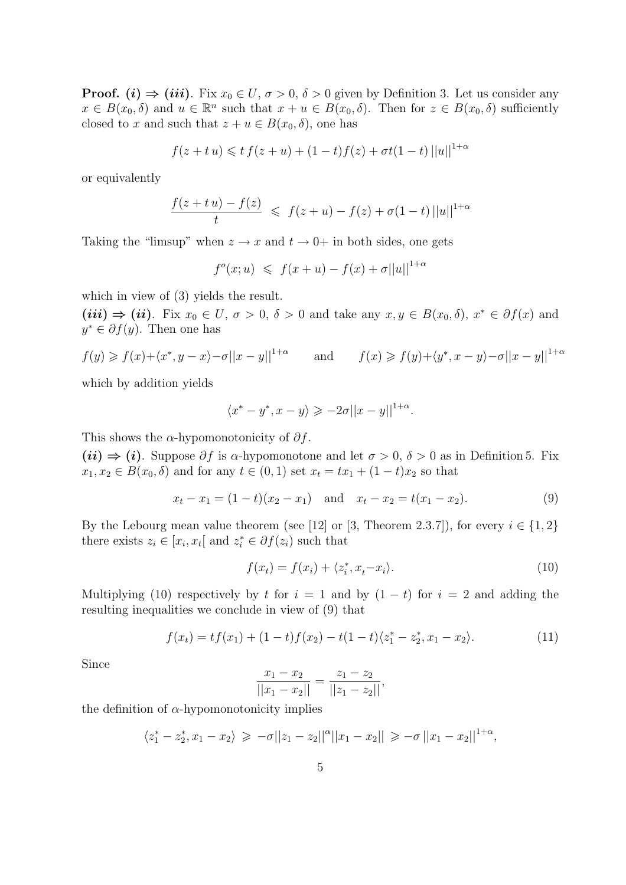**Proof.** (i)  $\Rightarrow$  (iii). Fix  $x_0 \in U$ ,  $\sigma > 0$ ,  $\delta > 0$  given by Definition 3. Let us consider any  $x \in B(x_0, \delta)$  and  $u \in \mathbb{R}^n$  such that  $x + u \in B(x_0, \delta)$ . Then for  $z \in B(x_0, \delta)$  sufficiently closed to x and such that  $z + u \in B(x_0, \delta)$ , one has

$$
f(z + tu) \leq t f(z + u) + (1 - t)f(z) + \sigma t(1 - t) ||u||^{1 + \alpha}
$$

or equivalently

$$
\frac{f(z+tu)-f(z)}{t} \leq f(z+u)-f(z)+\sigma(1-t) ||u||^{1+\alpha}
$$

Taking the "limsup" when  $z \to x$  and  $t \to 0^+$  in both sides, one gets

 $f^o(x; u) \leq f(x + u) - f(x) + \sigma ||u||^{1+\alpha}$ 

which in view of (3) yields the result.

 $(iii) \Rightarrow (ii)$ . Fix  $x_0 \in U$ ,  $\sigma > 0$ ,  $\delta > 0$  and take any  $x, y \in B(x_0, \delta)$ ,  $x^* \in \partial f(x)$  and  $y^* \in \partial f(y)$ . Then one has

$$
f(y) \ge f(x) + \langle x^*, y - x \rangle - \sigma ||x - y||^{1 + \alpha}
$$
 and  $f(x) \ge f(y) + \langle y^*, x - y \rangle - \sigma ||x - y||^{1 + \alpha}$ 

which by addition yields

$$
\langle x^* - y^*, x - y \rangle \geqslant -2\sigma ||x - y||^{1+\alpha}.
$$

This shows the  $\alpha$ -hypomonotonicity of  $\partial f$ .

(ii)  $\Rightarrow$  (i). Suppose  $\partial f$  is  $\alpha$ -hypomonotone and let  $\sigma > 0$ ,  $\delta > 0$  as in Definition 5. Fix  $x_1, x_2 \in B(x_0, \delta)$  and for any  $t \in (0, 1)$  set  $x_t = tx_1 + (1 - t)x_2$  so that

$$
x_t - x_1 = (1 - t)(x_2 - x_1) \quad \text{and} \quad x_t - x_2 = t(x_1 - x_2). \tag{9}
$$

By the Lebourg mean value theorem (see [12] or [3, Theorem 2.3.7]), for every  $i \in \{1,2\}$ there exists  $z_i \in [x_i, x_t]$  and  $z_i^* \in \partial f(z_i)$  such that

$$
f(x_t) = f(x_i) + \langle z_i^*, x_t - x_i \rangle.
$$
 (10)

Multiplying (10) respectively by t for  $i = 1$  and by  $(1 - t)$  for  $i = 2$  and adding the resulting inequalities we conclude in view of (9) that

$$
f(x_t) = tf(x_1) + (1-t)f(x_2) - t(1-t)\langle z_1^* - z_2^*, x_1 - x_2 \rangle.
$$
 (11)

Since

$$
\frac{x_1 - x_2}{||x_1 - x_2||} = \frac{z_1 - z_2}{||z_1 - z_2||},
$$

the definition of  $\alpha$ -hypomonotonicity implies

$$
\langle z_1^*-z_2^*,x_1-x_2\rangle \geq -\sigma||z_1-z_2||^{\alpha}||x_1-x_2|| \geq -\sigma||x_1-x_2||^{1+\alpha},
$$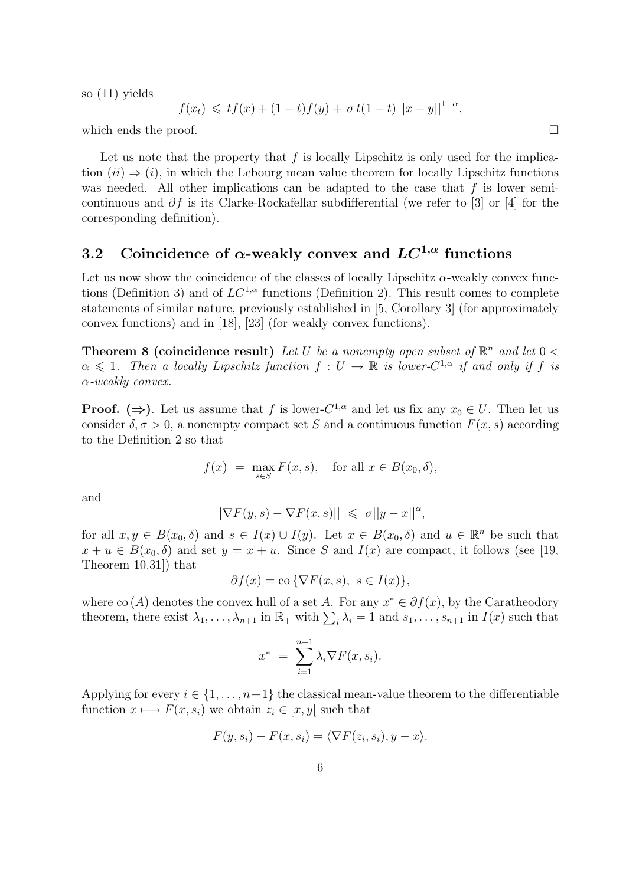so (11) yields

$$
f(x_t) \leqslant tf(x) + (1-t)f(y) + \sigma t(1-t) ||x - y||^{1+\alpha},
$$

which ends the proof.  $\Box$ 

Let us note that the property that  $f$  is locally Lipschitz is only used for the implication  $(ii) \Rightarrow (i)$ , in which the Lebourg mean value theorem for locally Lipschitz functions was needed. All other implications can be adapted to the case that  $f$  is lower semicontinuous and  $\partial f$  is its Clarke-Rockafellar subdifferential (we refer to [3] or [4] for the corresponding definition).

## 3.2 Coincidence of  $\alpha$ -weakly convex and  $LC^{1,\alpha}$  functions

Let us now show the coincidence of the classes of locally Lipschitz  $\alpha$ -weakly convex functions (Definition 3) and of  $LC^{1,\alpha}$  functions (Definition 2). This result comes to complete statements of similar nature, previously established in [5, Corollary 3] (for approximately convex functions) and in [18], [23] (for weakly convex functions).

**Theorem 8 (coincidence result)** Let U be a nonempty open subset of  $\mathbb{R}^n$  and let  $0 <$  $\alpha \leq 1$ . Then a locally Lipschitz function  $f: U \to \mathbb{R}$  is lower- $C^{1,\alpha}$  if and only if f is α-weakly convex.

**Proof.** ( $\Rightarrow$ ). Let us assume that f is lower- $C^{1,\alpha}$  and let us fix any  $x_0 \in U$ . Then let us consider  $\delta, \sigma > 0$ , a nonempty compact set S and a continuous function  $F(x, s)$  according to the Definition 2 so that

$$
f(x) = \max_{s \in S} F(x, s), \text{ for all } x \in B(x_0, \delta),
$$

and

$$
||\nabla F(y,s) - \nabla F(x,s)|| \leq \sigma ||y-x||^{\alpha},
$$

for all  $x, y \in B(x_0, \delta)$  and  $s \in I(x) \cup I(y)$ . Let  $x \in B(x_0, \delta)$  and  $u \in \mathbb{R}^n$  be such that  $x + u \in B(x_0, \delta)$  and set  $y = x + u$ . Since S and  $I(x)$  are compact, it follows (see [19, Theorem 10.31]) that

$$
\partial f(x) = \text{co }\{\nabla F(x, s), \ s \in I(x)\},
$$

where co (A) denotes the convex hull of a set A. For any  $x^* \in \partial f(x)$ , by the Caratheodory where co  $(A)$  denotes the convex null of a set A. For any  $x \in \partial f(x)$ , by the Caratheodory<br>theorem, there exist  $\lambda_1, \ldots, \lambda_{n+1}$  in  $\mathbb{R}_+$  with  $\sum_i \lambda_i = 1$  and  $s_1, \ldots, s_{n+1}$  in  $I(x)$  such that

$$
x^* = \sum_{i=1}^{n+1} \lambda_i \nabla F(x, s_i).
$$

Applying for every  $i \in \{1, \ldots, n+1\}$  the classical mean-value theorem to the differentiable function  $x \mapsto F(x, s_i)$  we obtain  $z_i \in [x, y]$  such that

$$
F(y, s_i) - F(x, s_i) = \langle \nabla F(z_i, s_i), y - x \rangle.
$$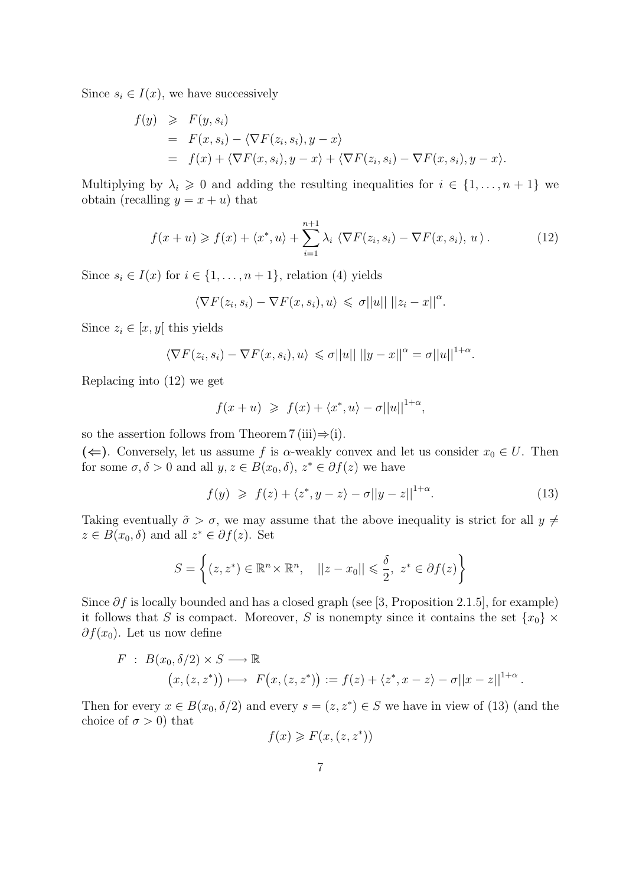Since  $s_i \in I(x)$ , we have successively

$$
f(y) \geq F(y, s_i)
$$
  
=  $F(x, s_i) - \langle \nabla F(z_i, s_i), y - x \rangle$   
=  $f(x) + \langle \nabla F(x, s_i), y - x \rangle + \langle \nabla F(z_i, s_i) - \nabla F(x, s_i), y - x \rangle.$ 

Multiplying by  $\lambda_i \geq 0$  and adding the resulting inequalities for  $i \in \{1, \ldots, n+1\}$  we obtain (recalling  $y = x + u$ ) that

$$
f(x+u) \geqslant f(x) + \langle x^*, u \rangle + \sum_{i=1}^{n+1} \lambda_i \langle \nabla F(z_i, s_i) - \nabla F(x, s_i), u \rangle.
$$
 (12)

Since  $s_i \in I(x)$  for  $i \in \{1, \ldots, n+1\}$ , relation (4) yields

$$
\langle \nabla F(z_i, s_i) - \nabla F(x, s_i), u \rangle \leq \sigma ||u|| \, ||z_i - x||^{\alpha}.
$$

Since  $z_i \in [x, y]$  this yields

$$
\langle \nabla F(z_i, s_i) - \nabla F(x, s_i), u \rangle \leq \sigma ||u|| ||y - x||^{\alpha} = \sigma ||u||^{1+\alpha}.
$$

Replacing into (12) we get

$$
f(x+u) \geq f(x) + \langle x^*, u \rangle - \sigma ||u||^{1+\alpha},
$$

so the assertion follows from Theorem 7 (iii) $\Rightarrow$  (i).

(←). Conversely, let us assume f is  $\alpha$ -weakly convex and let us consider  $x_0 \in U$ . Then for some  $\sigma, \delta > 0$  and all  $y, z \in B(x_0, \delta), z^* \in \partial f(z)$  we have

$$
f(y) \geq f(z) + \langle z^*, y - z \rangle - \sigma ||y - z||^{1+\alpha}.
$$
 (13)

Taking eventually  $\tilde{\sigma} > \sigma$ , we may assume that the above inequality is strict for all  $y \neq \sigma$  $z \in B(x_0, \delta)$  and all  $z^* \in \partial f(z)$ . Set

$$
S = \left\{ (z, z^*) \in \mathbb{R}^n \times \mathbb{R}^n, \quad ||z - x_0|| \leq \frac{\delta}{2}, \ z^* \in \partial f(z) \right\}
$$

Since  $\partial f$  is locally bounded and has a closed graph (see [3, Proposition 2.1.5], for example) it follows that S is compact. Moreover, S is nonempty since it contains the set  $\{x_0\} \times$  $\partial f(x_0)$ . Let us now define

$$
F : B(x_0, \delta/2) \times S \longrightarrow \mathbb{R}
$$
  

$$
(x, (z, z^*)) \longmapsto F(x, (z, z^*)) := f(z) + \langle z^*, x - z \rangle - \sigma ||x - z||^{1+\alpha}.
$$

Then for every  $x \in B(x_0, \delta/2)$  and every  $s = (z, z^*) \in S$  we have in view of (13) (and the choice of  $\sigma > 0$ ) that

$$
f(x) \geqslant F(x,(z,z^*))
$$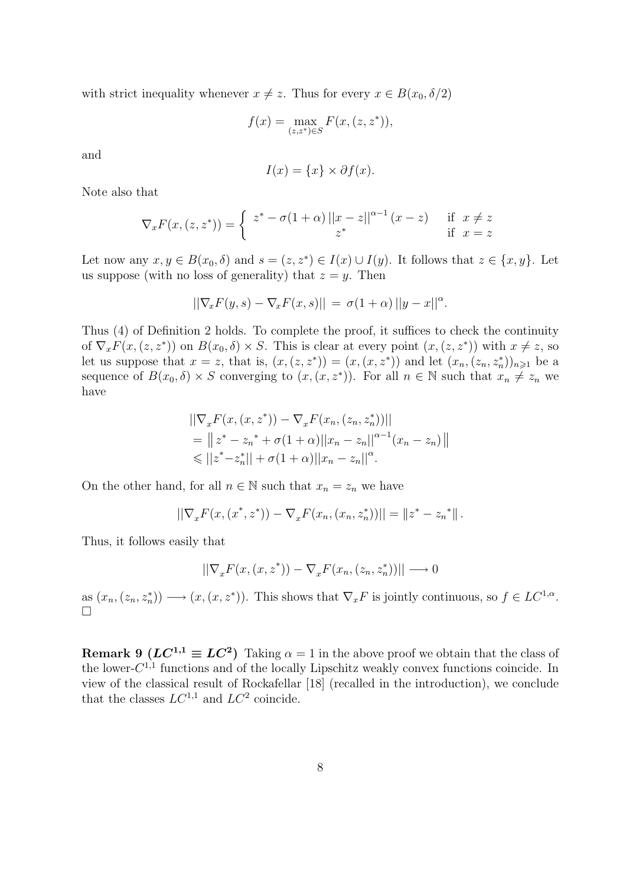with strict inequality whenever  $x \neq z$ . Thus for every  $x \in B(x_0, \delta/2)$ 

$$
f(x) = \max_{(z,z^*) \in S} F(x,(z,z^*)),
$$

and

$$
I(x) = \{x\} \times \partial f(x).
$$

Note also that

$$
\nabla_x F(x,(z,z^*)) = \begin{cases} z^* - \sigma(1+\alpha) \left| |x-z| \right|^{\alpha-1} (x-z) & \text{if } x \neq z \\ z^* & \text{if } x = z \end{cases}
$$

Let now any  $x, y \in B(x_0, \delta)$  and  $s = (z, z^*) \in I(x) \cup I(y)$ . It follows that  $z \in \{x, y\}$ . Let us suppose (with no loss of generality) that  $z = y$ . Then

$$
||\nabla_x F(y,s) - \nabla_x F(x,s)|| = \sigma(1+\alpha) ||y-x||^{\alpha}.
$$

Thus (4) of Definition 2 holds. To complete the proof, it suffices to check the continuity of  $\nabla_x F(x,(z,z^*))$  on  $B(x_0,\delta) \times S$ . This is clear at every point  $(x,(z,z^*))$  with  $x \neq z$ , so let us suppose that  $x = z$ , that is,  $(x,(z,z^*)) = (x,(x,z^*))$  and let  $(x_n,(z_n,z_n^*))_{n\geqslant 1}$  be a sequence of  $B(x_0, \delta) \times S$  converging to  $(x, (x, z^*))$ . For all  $n \in \mathbb{N}$  such that  $x_n \neq z_n$  we have

$$
\begin{aligned} &\left|\left|\nabla_x F(x,(x,z^*)) - \nabla_x F(x_n,(z_n,z_n^*))\right|\right| \\ &= \left|\left|z^* - z_n^* + \sigma(1+\alpha)\right|\left|x_n - z_n\right|\right|^{\alpha-1}(x_n - z_n)\right| \\ &\leqslant \left|\left|z^* - z_n^*\right|\right| + \sigma(1+\alpha) \left|\left|x_n - z_n\right|\right|^{\alpha} .\end{aligned}
$$

On the other hand, for all  $n \in \mathbb{N}$  such that  $x_n = z_n$  we have

$$
||\nabla_x F(x,(x^*,z^*)) - \nabla_x F(x_n,(x_n,z_n^*))|| = ||z^* - z_n^*||.
$$

Thus, it follows easily that

$$
||\nabla_x F(x,(x,z^*)) - \nabla_x F(x_n,(z_n,z_n^*))|| \longrightarrow 0
$$

as  $(x_n, (z_n, z_n^*)) \longrightarrow (x, (x, z^*))$ . This shows that  $\nabla_x F$  is jointly continuous, so  $f \in LC^{1,\alpha}$ . ¤

**Remark 9** ( $LC^{1,1} \equiv LC^2$ ) Taking  $\alpha = 1$  in the above proof we obtain that the class of the lower- $C^{1,1}$  functions and of the locally Lipschitz weakly convex functions coincide. In view of the classical result of Rockafellar [18] (recalled in the introduction), we conclude that the classes  $LC^{1,1}$  and  $LC^2$  coincide.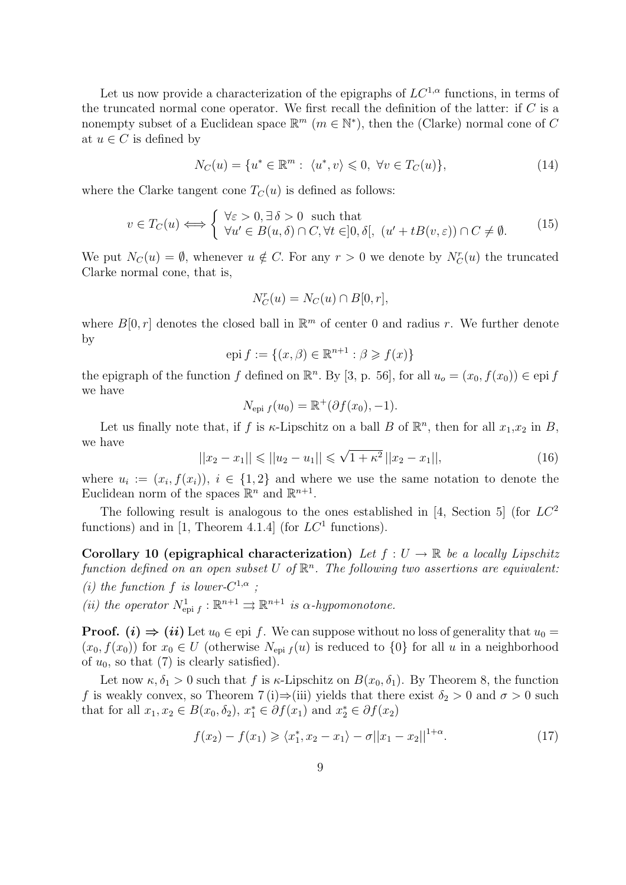Let us now provide a characterization of the epigraphs of  $LC^{1,\alpha}$  functions, in terms of the truncated normal cone operator. We first recall the definition of the latter: if  $C$  is a nonempty subset of a Euclidean space  $\mathbb{R}^m$   $(m \in \mathbb{N}^*)$ , then the (Clarke) normal cone of C at  $u \in C$  is defined by

$$
N_C(u) = \{u^* \in \mathbb{R}^m : \langle u^*, v \rangle \leq 0, \forall v \in T_C(u)\},\tag{14}
$$

where the Clarke tangent cone  $T_C(u)$  is defined as follows:

$$
v \in T_C(u) \Longleftrightarrow \begin{cases} \forall \varepsilon > 0, \exists \delta > 0 \text{ such that} \\ \forall u' \in B(u, \delta) \cap C, \forall t \in ]0, \delta[, \ (u' + tB(v, \varepsilon)) \cap C \neq \emptyset. \end{cases} \tag{15}
$$

We put  $N_C(u) = \emptyset$ , whenever  $u \notin C$ . For any  $r > 0$  we denote by  $N_C^r(u)$  the truncated Clarke normal cone, that is,

$$
N_C^r(u) = N_C(u) \cap B[0, r],
$$

where  $B[0, r]$  denotes the closed ball in  $\mathbb{R}^m$  of center 0 and radius r. We further denote by

$$
epi f := \{(x, \beta) \in \mathbb{R}^{n+1} : \beta \geq f(x)\}
$$

the epigraph of the function f defined on  $\mathbb{R}^n$ . By [3, p. 56], for all  $u_o = (x_0, f(x_0)) \in e$  pi f we have

$$
N_{\text{epi }f}(u_0) = \mathbb{R}^+(\partial f(x_0), -1).
$$

Let us finally note that, if f is  $\kappa$ -Lipschitz on a ball B of  $\mathbb{R}^n$ , then for all  $x_1, x_2$  in B, we have √

$$
||x_2 - x_1|| \le ||u_2 - u_1|| \le \sqrt{1 + \kappa^2} ||x_2 - x_1||,
$$
\n(16)

where  $u_i := (x_i, f(x_i)), i \in \{1,2\}$  and where we use the same notation to denote the Euclidean norm of the spaces  $\mathbb{R}^n$  and  $\mathbb{R}^{n+1}$ .

The following result is analogous to the ones established in [4, Section 5] (for  $LC^2$ functions) and in [1, Theorem 4.1.4] (for  $LC^1$  functions).

Corollary 10 (epigraphical characterization) Let  $f: U \to \mathbb{R}$  be a locally Lipschitz function defined on an open subset U of  $\mathbb{R}^n$ . The following two assertions are equivalent: (i) the function f is lower- $C^{1,\alpha}$ ;

(ii) the operator  $N^1_{\text{epi } f} : \mathbb{R}^{n+1} \rightrightarrows \mathbb{R}^{n+1}$  is  $\alpha$ -hypomonotone.

**Proof.** (i)  $\Rightarrow$  (ii) Let  $u_0 \in$  epi f. We can suppose without no loss of generality that  $u_0 =$  $(x_0, f(x_0))$  for  $x_0 \in U$  (otherwise  $N_{\text{epi }f}(u)$  is reduced to  $\{0\}$  for all u in a neighborhood of  $u_0$ , so that (7) is clearly satisfied).

Let now  $\kappa, \delta_1 > 0$  such that f is  $\kappa$ -Lipschitz on  $B(x_0, \delta_1)$ . By Theorem 8, the function f is weakly convex, so Theorem 7 (i)⇒(iii) yields that there exist  $\delta_2 > 0$  and  $\sigma > 0$  such that for all  $x_1, x_2 \in B(x_0, \delta_2)$ ,  $x_1^* \in \partial f(x_1)$  and  $x_2^* \in \partial f(x_2)$ 

$$
f(x_2) - f(x_1) \ge \langle x_1^*, x_2 - x_1 \rangle - \sigma ||x_1 - x_2||^{1 + \alpha}.
$$
 (17)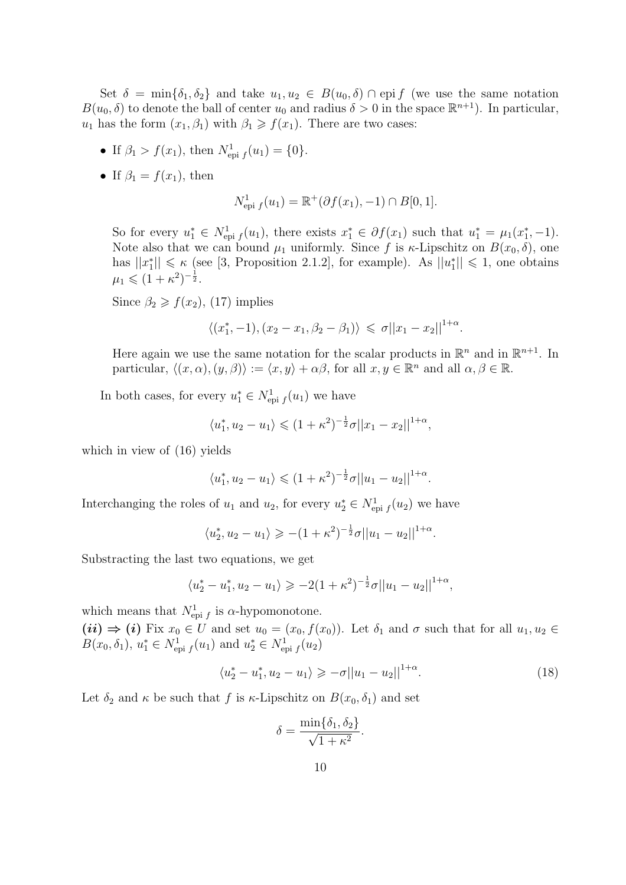Set  $\delta = \min\{\delta_1, \delta_2\}$  and take  $u_1, u_2 \in B(u_0, \delta) \cap \text{epi } f$  (we use the same notation  $B(u_0, \delta)$  to denote the ball of center  $u_0$  and radius  $\delta > 0$  in the space  $\mathbb{R}^{n+1}$ ). In particular,  $u_1$  has the form  $(x_1, \beta_1)$  with  $\beta_1 \geq f(x_1)$ . There are two cases:

- If  $\beta_1 > f(x_1)$ , then  $N_{epi\ f}^1(u_1) = \{0\}.$
- If  $\beta_1 = f(x_1)$ , then

$$
N_{\rm epi~f}^1(u_1) = \mathbb{R}^+(\partial f(x_1), -1) \cap B[0, 1].
$$

So for every  $u_1^* \in N^1_{\text{epi }f}(u_1)$ , there exists  $x_1^* \in \partial f(x_1)$  such that  $u_1^* = \mu_1(x_1^*, -1)$ . Note also that we can bound  $\mu_1$  uniformly. Since f is  $\kappa$ -Lipschitz on  $B(x_0, \delta)$ , one has  $||x_1^*|| \le \kappa$  (see [3, Proposition 2.1.2], for example). As  $||u_1^*|| \le 1$ , one obtains  $\mu_1 \leqslant (1 + \kappa^2)^{-\frac{1}{2}}.$ 

Since  $\beta_2 \geq f(x_2)$ , (17) implies

$$
\langle (x_1^*, -1), (x_2 - x_1, \beta_2 - \beta_1) \rangle \leq \sigma ||x_1 - x_2||^{1+\alpha}.
$$

Here again we use the same notation for the scalar products in  $\mathbb{R}^n$  and in  $\mathbb{R}^{n+1}$ . In particular,  $\langle (x, \alpha), (y, \beta) \rangle := \langle x, y \rangle + \alpha \beta$ , for all  $x, y \in \mathbb{R}^n$  and all  $\alpha, \beta \in \mathbb{R}$ .

In both cases, for every  $u_1^* \in N^1_{\text{epi } f}(u_1)$  we have

$$
\langle u_1^*, u_2 - u_1 \rangle \leq (1 + \kappa^2)^{-\frac{1}{2}} \sigma ||x_1 - x_2||^{1+\alpha},
$$

which in view of (16) yields

$$
\langle u_1^*, u_2 - u_1 \rangle \leq (1 + \kappa^2)^{-\frac{1}{2}} \sigma ||u_1 - u_2||^{1+\alpha}.
$$

Interchanging the roles of  $u_1$  and  $u_2$ , for every  $u_2^* \in N^1_{\text{epi }f}(u_2)$  we have

$$
\langle u_2^*, u_2 - u_1 \rangle \geqslant -(1 + \kappa^2)^{-\frac{1}{2}} \sigma ||u_1 - u_2||^{1+\alpha}.
$$

Substracting the last two equations, we get

$$
\langle u_2^* - u_1^*, u_2 - u_1 \rangle \ge -2(1 + \kappa^2)^{-\frac{1}{2}} \sigma ||u_1 - u_2||^{1+\alpha},
$$

which means that  $N^1_{epi\ f}$  is  $\alpha$ -hypomonotone.

 $(ii) \Rightarrow (i)$  Fix  $x_0 \in U$  and set  $u_0 = (x_0, f(x_0))$ . Let  $\delta_1$  and  $\sigma$  such that for all  $u_1, u_2 \in$  $B(x_0, \delta_1), u_1^* \in N^1_{\text{epi } f}(u_1)$  and  $u_2^* \in N^1_{\text{epi } f}(u_2)$ 

$$
\langle u_2^* - u_1^*, u_2 - u_1 \rangle \ge -\sigma ||u_1 - u_2||^{1+\alpha}.
$$
 (18)

Let  $\delta_2$  and  $\kappa$  be such that f is  $\kappa$ -Lipschitz on  $B(x_0, \delta_1)$  and set

$$
\delta = \frac{\min\{\delta_1, \delta_2\}}{\sqrt{1 + \kappa^2}}.
$$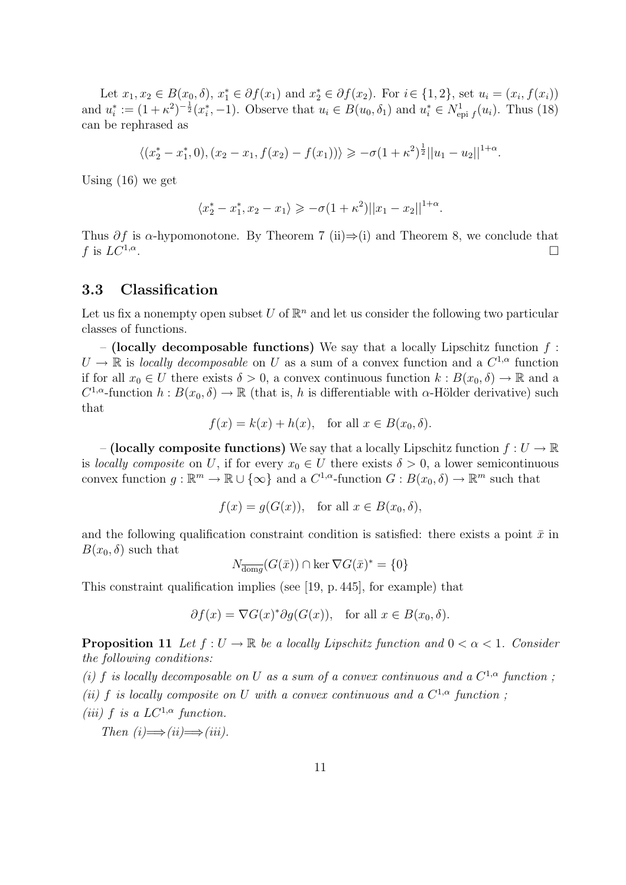Let  $x_1, x_2 \in B(x_0, \delta), x_1^* \in \partial f(x_1)$  and  $x_2^* \in \partial f(x_2)$ . For  $i \in \{1, 2\}$ , set  $u_i = (x_i, f(x_i))$ and  $u_i^* := (1 + \kappa^2)^{-\frac{1}{2}} (x_i^*, -1)$ . Observe that  $u_i \in B(u_0, \delta_1)$  and  $u_i^* \in N^1_{\text{epi } f}(u_i)$ . Thus (18) can be rephrased as

$$
\langle (x_2^* - x_1^*, 0), (x_2 - x_1, f(x_2) - f(x_1)) \rangle \ge -\sigma (1 + \kappa^2)^{\frac{1}{2}} ||u_1 - u_2||^{1+\alpha}.
$$

Using (16) we get

$$
\langle x_2^* - x_1^*, x_2 - x_1 \rangle \ge -\sigma (1 + \kappa^2) ||x_1 - x_2||^{1+\alpha}.
$$

Thus  $\partial f$  is  $\alpha$ -hypomonotone. By Theorem 7 (ii)⇒(i) and Theorem 8, we conclude that f is  $LC^{1,\alpha}$ . . The contract of the contract of the contract of the contract of the contract of  $\Box$ 

#### 3.3 Classification

Let us fix a nonempty open subset U of  $\mathbb{R}^n$  and let us consider the following two particular classes of functions.

– (locally decomposable functions) We say that a locally Lipschitz function  $f$ :  $U \to \mathbb{R}$  is locally decomposable on U as a sum of a convex function and a  $C^{1,\alpha}$  function if for all  $x_0 \in U$  there exists  $\delta > 0$ , a convex continuous function  $k : B(x_0, \delta) \to \mathbb{R}$  and a  $C^{1,\alpha}$ -function  $h: B(x_0, \delta) \to \mathbb{R}$  (that is, h is differentiable with  $\alpha$ -Hölder derivative) such that

$$
f(x) = k(x) + h(x), \text{ for all } x \in B(x_0, \delta).
$$

– (locally composite functions) We say that a locally Lipschitz function  $f: U \to \mathbb{R}$ is locally composite on U, if for every  $x_0 \in U$  there exists  $\delta > 0$ , a lower semicontinuous convex function  $g : \mathbb{R}^m \to \mathbb{R} \cup \{\infty\}$  and a  $C^{1,\alpha}$ -function  $G : B(x_0, \delta) \to \mathbb{R}^m$  such that

$$
f(x) = g(G(x)), \text{ for all } x \in B(x_0, \delta),
$$

and the following qualification constraint condition is satisfied: there exists a point  $\bar{x}$  in  $B(x_0, \delta)$  such that

$$
N_{\overline{\text{dom}g}}(G(\bar{x})) \cap \ker \nabla G(\bar{x})^* = \{0\}
$$

This constraint qualification implies (see [19, p. 445], for example) that

$$
\partial f(x) = \nabla G(x)^* \partial g(G(x)), \text{ for all } x \in B(x_0, \delta).
$$

**Proposition 11** Let  $f: U \to \mathbb{R}$  be a locally Lipschitz function and  $0 < \alpha < 1$ . Consider the following conditions:

(i) f is locally decomposable on U as a sum of a convex continuous and a  $C^{1,\alpha}$  function; (ii) f is locally composite on U with a convex continuous and a  $C^{1,\alpha}$  function; (iii) f is a  $LC^{1,\alpha}$  function.

Then  $(i) \Longrightarrow (ii) \Longrightarrow (iii)$ .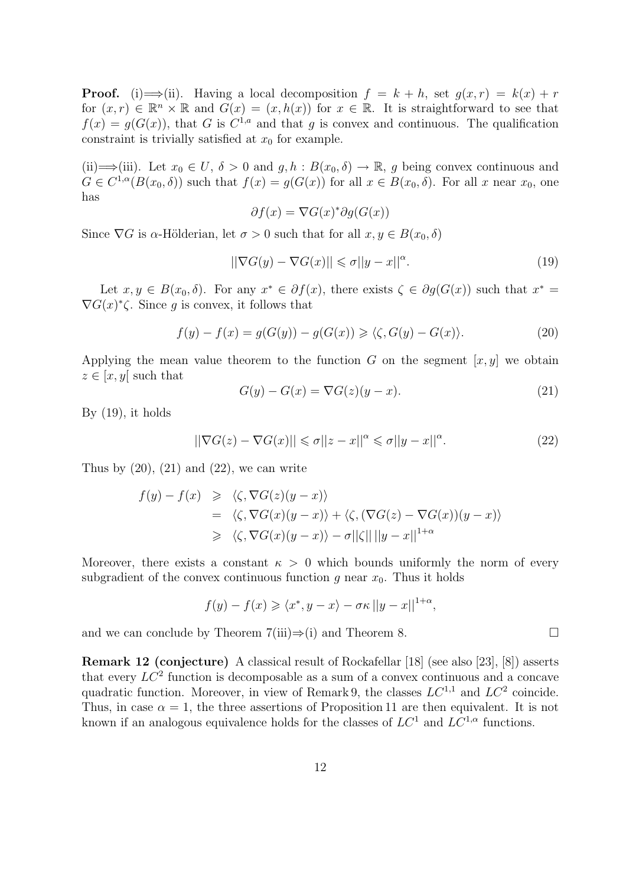**Proof.** (i)  $\Longrightarrow$  (ii). Having a local decomposition  $f = k + h$ , set  $g(x,r) = k(x) + r$ for  $(x, r) \in \mathbb{R}^n \times \mathbb{R}$  and  $G(x) = (x, h(x))$  for  $x \in \mathbb{R}$ . It is straightforward to see that  $f(x) = g(G(x))$ , that G is  $C^{1,a}$  and that g is convex and continuous. The qualification constraint is trivially satisfied at  $x_0$  for example.

(ii)  $\implies$  (iii). Let  $x_0 \in U$ ,  $\delta > 0$  and  $g, h : B(x_0, \delta) \to \mathbb{R}$ , g being convex continuous and  $G \in C^{1,\alpha}(B(x_0,\delta))$  such that  $f(x) = g(G(x))$  for all  $x \in B(x_0,\delta)$ . For all x near  $x_0$ , one has

$$
\partial f(x) = \nabla G(x)^* \partial g(G(x))
$$

Since  $\nabla G$  is  $\alpha$ -Hölderian, let  $\sigma > 0$  such that for all  $x, y \in B(x_0, \delta)$ 

$$
\left| |\nabla G(y) - \nabla G(x)| \right| \leq \sigma \left| |y - x| \right|^{\alpha}.
$$
\n(19)

Let  $x, y \in B(x_0, \delta)$ . For any  $x^* \in \partial f(x)$ , there exists  $\zeta \in \partial g(G(x))$  such that  $x^* =$  $\nabla G(x)^{*}\zeta$ . Since g is convex, it follows that

$$
f(y) - f(x) = g(G(y)) - g(G(x)) \ge \langle \zeta, G(y) - G(x) \rangle.
$$
 (20)

Applying the mean value theorem to the function G on the segment  $[x, y]$  we obtain  $z \in [x, y]$  such that

$$
G(y) - G(x) = \nabla G(z)(y - x). \tag{21}
$$

By  $(19)$ , it holds

$$
||\nabla G(z) - \nabla G(x)|| \leq \sigma ||z - x||^{\alpha} \leq \sigma ||y - x||^{\alpha}.
$$
 (22)

Thus by  $(20)$ ,  $(21)$  and  $(22)$ , we can write

$$
f(y) - f(x) \geq \langle \zeta, \nabla G(z)(y - x) \rangle
$$
  
=  $\langle \zeta, \nabla G(x)(y - x) \rangle + \langle \zeta, (\nabla G(z) - \nabla G(x))(y - x) \rangle$   
 $\geq \langle \zeta, \nabla G(x)(y - x) \rangle - \sigma ||\zeta|| ||y - x||^{1+\alpha}$ 

Moreover, there exists a constant  $\kappa > 0$  which bounds uniformly the norm of every subgradient of the convex continuous function g near  $x_0$ . Thus it holds

$$
f(y) - f(x) \geq \langle x^*, y - x \rangle - \sigma \kappa ||y - x||^{1+\alpha},
$$

and we can conclude by Theorem 7(iii) $\Rightarrow$ (i) and Theorem 8.

Remark 12 (conjecture) A classical result of Rockafellar [18] (see also [23], [8]) asserts that every  $LC^2$  function is decomposable as a sum of a convex continuous and a concave quadratic function. Moreover, in view of Remark 9, the classes  $LC^{1,1}$  and  $LC^2$  coincide. Thus, in case  $\alpha = 1$ , the three assertions of Proposition 11 are then equivalent. It is not known if an analogous equivalence holds for the classes of  $LC^1$  and  $LC^{1,\alpha}$  functions.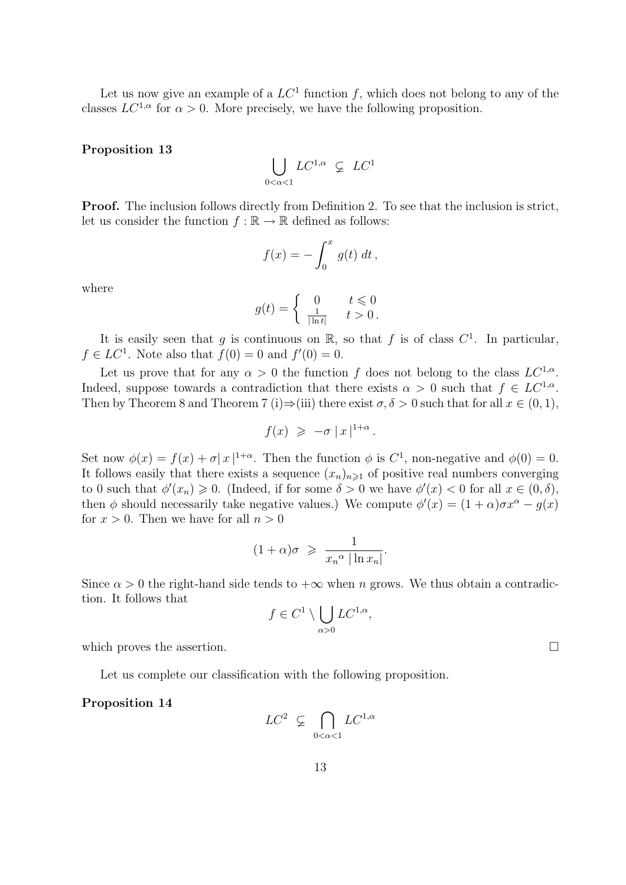Let us now give an example of a  $LC^1$  function f, which does not belong to any of the classes  $LC^{1,\alpha}$  for  $\alpha > 0$ . More precisely, we have the following proposition.

Proposition 13

$$
\bigcup_{0<\alpha<1} LC^{1,\alpha} \varsubsetneq LC^1
$$

Proof. The inclusion follows directly from Definition 2. To see that the inclusion is strict, let us consider the function  $f : \mathbb{R} \to \mathbb{R}$  defined as follows:

$$
f(x) = -\int_0^x g(t) dt,
$$

where

$$
g(t) = \begin{cases} 0 & t \leq 0\\ \frac{1}{|\ln t|} & t > 0 \end{cases}
$$

It is easily seen that g is continuous on  $\mathbb{R}$ , so that f is of class  $C^1$ . In particular,  $f \in LC^1$ . Note also that  $f(0) = 0$  and  $f'(0) = 0$ .

Let us prove that for any  $\alpha > 0$  the function f does not belong to the class  $LC^{1,\alpha}$ . Indeed, suppose towards a contradiction that there exists  $\alpha > 0$  such that  $f \in LC^{1,\alpha}$ . Then by Theorem 8 and Theorem 7 (i)⇒(iii) there exist  $\sigma, \delta > 0$  such that for all  $x \in (0,1)$ ,

$$
f(x) \geqslant -\sigma |x|^{1+\alpha}.
$$

Set now  $\phi(x) = f(x) + \sigma |x|^{1+\alpha}$ . Then the function  $\phi$  is  $C^1$ , non-negative and  $\phi(0) = 0$ . It follows easily that there exists a sequence  $(x_n)_{n\geq 1}$  of positive real numbers converging to 0 such that  $\phi'(x_n) \geq 0$ . (Indeed, if for some  $\delta > 0$  we have  $\phi'(x) < 0$  for all  $x \in (0, \delta)$ , then  $\phi$  should necessarily take negative values.) We compute  $\phi'(x) = (1 + \alpha)\sigma x^{\alpha} - g(x)$ for  $x > 0$ . Then we have for all  $n > 0$ 

$$
(1+\alpha)\sigma \geqslant \frac{1}{x_n^{\alpha}|\ln x_n|}.
$$

Since  $\alpha > 0$  the right-hand side tends to  $+\infty$  when n grows. We thus obtain a contradiction. It follows that  $\overline{\phantom{a}}$ 

$$
f \in C^1 \setminus \bigcup_{\alpha > 0} LC^{1,\alpha},
$$

which proves the assertion.  $\Box$ 

Let us complete our classification with the following proposition.

Proposition 14

$$
LC^2 \varsubsetneq \bigcap_{0 < \alpha < 1} LC^{1,\alpha}
$$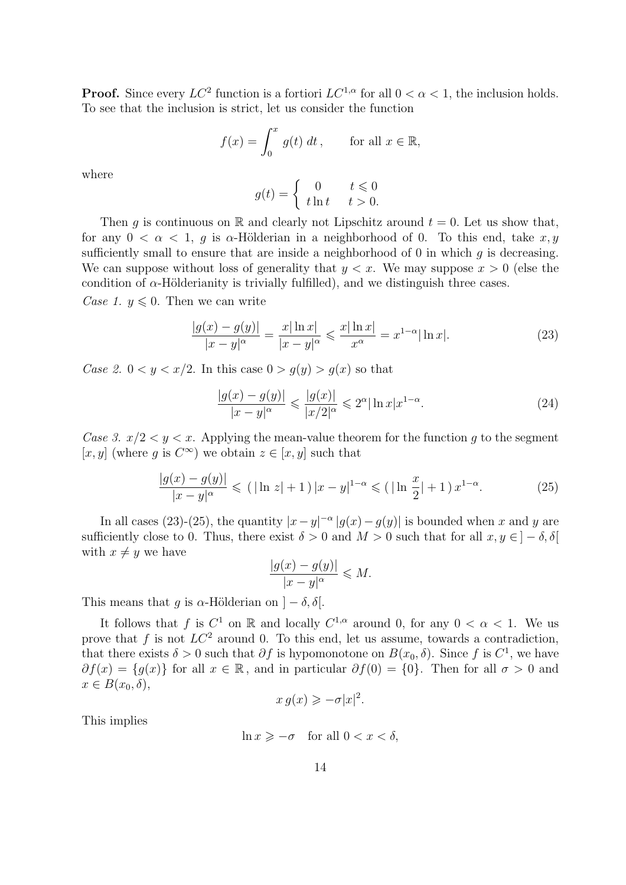**Proof.** Since every  $LC^2$  function is a fortiori  $LC^{1,\alpha}$  for all  $0 < \alpha < 1$ , the inclusion holds. To see that the inclusion is strict, let us consider the function

$$
f(x) = \int_0^x g(t) \, dt \,, \qquad \text{for all } x \in \mathbb{R},
$$

where

$$
g(t) = \begin{cases} 0 & t \leq 0\\ t \ln t & t > 0. \end{cases}
$$

Then g is continuous on R and clearly not Lipschitz around  $t = 0$ . Let us show that, for any  $0 < \alpha < 1$ , q is  $\alpha$ -Hölderian in a neighborhood of 0. To this end, take  $x, y$ sufficiently small to ensure that are inside a neighborhood of 0 in which  $q$  is decreasing. We can suppose without loss of generality that  $y < x$ . We may suppose  $x > 0$  (else the condition of  $\alpha$ -Hölderianity is trivially fulfilled), and we distinguish three cases.

Case 1.  $y \leq 0$ . Then we can write

$$
\frac{|g(x) - g(y)|}{|x - y|^{\alpha}} = \frac{x|\ln x|}{|x - y|^{\alpha}} \leq \frac{x|\ln x|}{x^{\alpha}} = x^{1 - \alpha}|\ln x|.
$$
 (23)

Case 2.  $0 < y < x/2$ . In this case  $0 > g(y) > g(x)$  so that

$$
\frac{|g(x) - g(y)|}{|x - y|^{\alpha}} \leqslant \frac{|g(x)|}{|x/2|^{\alpha}} \leqslant 2^{\alpha} |\ln x| x^{1 - \alpha}.
$$
\n(24)

Case 3.  $x/2 < y < x$ . Applying the mean-value theorem for the function g to the segment  $[x, y]$  (where g is  $C^{\infty}$ ) we obtain  $z \in [x, y]$  such that

$$
\frac{|g(x) - g(y)|}{|x - y|^{\alpha}} \le (|\ln z| + 1)|x - y|^{1 - \alpha} \le (|\ln \frac{x}{2}| + 1) x^{1 - \alpha}.
$$
 (25)

In all cases (23)-(25), the quantity  $|x-y|^{-\alpha} |g(x)-g(y)|$  is bounded when x and y are sufficiently close to 0. Thus, there exist  $\delta > 0$  and  $M > 0$  such that for all  $x, y \in ]-\delta, \delta[$ with  $x \neq y$  we have

$$
\frac{|g(x) - g(y)|}{|x - y|^{\alpha}} \leq M.
$$

This means that g is  $\alpha$ -Hölderian on  $]-\delta, \delta[$ .

It follows that f is  $C^1$  on R and locally  $C^{1,\alpha}$  around 0, for any  $0 < \alpha < 1$ . We us prove that f is not  $LC^2$  around 0. To this end, let us assume, towards a contradiction, that there exists  $\delta > 0$  such that  $\partial f$  is hypomonotone on  $B(x_0, \delta)$ . Since f is  $C^1$ , we have  $\partial f(x) = \{g(x)\}\$ for all  $x \in \mathbb{R}$ , and in particular  $\partial f(0) = \{0\}$ . Then for all  $\sigma > 0$  and  $x \in B(x_0, \delta),$ 

$$
x g(x) \geqslant -\sigma |x|^2.
$$

This implies

$$
\ln x \geqslant -\sigma \quad \text{for all } 0 < x < \delta,
$$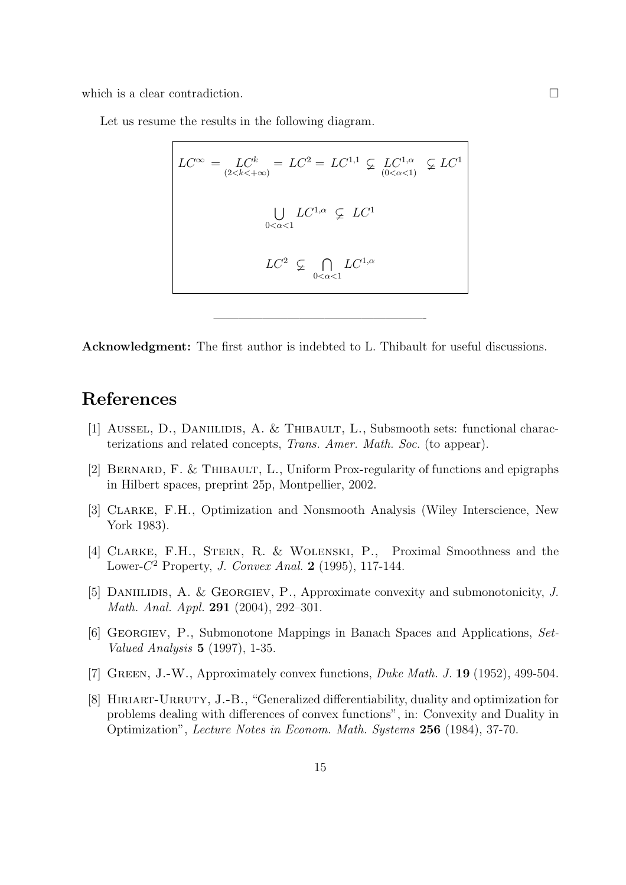which is a clear contradiction.  $\Box$ 

ſ

Let us resume the results in the following diagram.

$$
LC^{\infty} = \underset{(2 < k < +\infty)}{LC^k} = LC^2 = LC^{1,1} \subsetneq \underset{(0 < \alpha < 1)}{LC^{1,\alpha}} \subsetneq LC^1
$$
\n
$$
\bigcup_{0 < \alpha < 1} LC^{1,\alpha} \subsetneq LC^{1}
$$
\n
$$
LC^2 \subsetneq \bigcap_{0 < \alpha < 1} LC^{1,\alpha}
$$

Acknowledgment: The first author is indebted to L. Thibault for useful discussions.

—————————————————-

### References

- [1] AUSSEL, D., DANIILIDIS, A. & THIBAULT, L., Subsmooth sets: functional characterizations and related concepts, Trans. Amer. Math. Soc. (to appear).
- [2] BERNARD, F. & THIBAULT, L., Uniform Prox-regularity of functions and epigraphs in Hilbert spaces, preprint 25p, Montpellier, 2002.
- [3] Clarke, F.H., Optimization and Nonsmooth Analysis (Wiley Interscience, New York 1983).
- [4] Clarke, F.H., Stern, R. & Wolenski, P., Proximal Smoothness and the Lower- $C^2$  Property, *J. Convex Anal.* 2 (1995), 117-144.
- [5] DANIILIDIS, A. & GEORGIEV, P., Approximate convexity and submonotonicity, J. Math. Anal. Appl. 291 (2004), 292–301.
- [6] Georgiev, P., Submonotone Mappings in Banach Spaces and Applications, Set-Valued Analysis 5 (1997), 1-35.
- [7] GREEN, J.-W., Approximately convex functions, *Duke Math. J.* **19** (1952), 499-504.
- [8] HIRIART-URRUTY, J.-B., "Generalized differentiability, duality and optimization for problems dealing with differences of convex functions", in: Convexity and Duality in Optimization", Lecture Notes in Econom. Math. Systems 256 (1984), 37-70.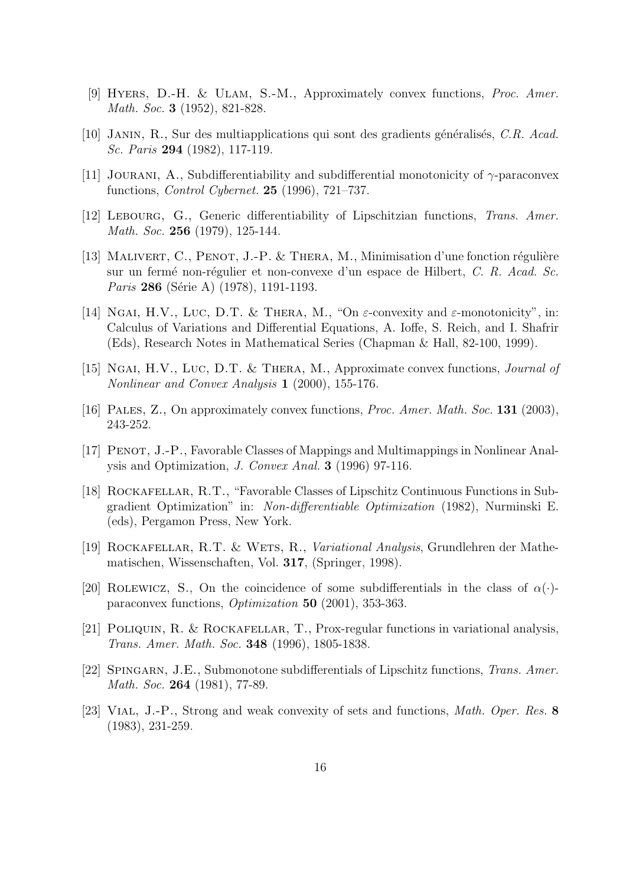- [9] HYERS, D.-H. & ULAM, S.-M., Approximately convex functions, *Proc. Amer.* Math. Soc. **3** (1952), 821-828.
- [10] JANIN, R., Sur des multiapplications qui sont des gradients généralisés, C.R. Acad. Sc. Paris 294 (1982), 117-119.
- [11] JOURANI, A., Subdifferentiability and subdifferential monotonicity of  $\gamma$ -paraconvex functions, Control Cybernet. 25 (1996), 721–737.
- [12] LEBOURG, G., Generic differentiability of Lipschitzian functions, Trans. Amer. Math. Soc. **256** (1979), 125-144.
- [13] MALIVERT, C., PENOT, J.-P. & THERA, M., Minimisation d'une fonction régulière sur un fermé non-régulier et non-convexe d'un espace de Hilbert, C. R. Acad. Sc. Paris 286 (Série A) (1978), 1191-1193.
- [14] NGAI, H.V., LUC, D.T. & THERA, M., "On  $\varepsilon$ -convexity and  $\varepsilon$ -monotonicity", in: Calculus of Variations and Differential Equations, A. Ioffe, S. Reich, and I. Shafrir (Eds), Research Notes in Mathematical Series (Chapman & Hall, 82-100, 1999).
- [15] NGAI, H.V., LUC, D.T. & THERA, M., Approximate convex functions, *Journal of* Nonlinear and Convex Analysis 1 (2000), 155-176.
- [16] Pales, Z., On approximately convex functions, Proc. Amer. Math. Soc. 131 (2003), 243-252.
- [17] Penot, J.-P., Favorable Classes of Mappings and Multimappings in Nonlinear Analysis and Optimization, J. Convex Anal. 3 (1996) 97-116.
- [18] Rockafellar, R.T., "Favorable Classes of Lipschitz Continuous Functions in Subgradient Optimization" in: Non-differentiable Optimization (1982), Nurminski E. (eds), Pergamon Press, New York.
- [19] ROCKAFELLAR, R.T. & WETS, R., Variational Analysis, Grundlehren der Mathematischen, Wissenschaften, Vol. 317, (Springer, 1998).
- [20] ROLEWICZ, S., On the coincidence of some subdifferentials in the class of  $\alpha(\cdot)$ paraconvex functions, Optimization 50 (2001), 353-363.
- [21] POLIQUIN, R. & ROCKAFELLAR, T., Prox-regular functions in variational analysis, Trans. Amer. Math. Soc. 348 (1996), 1805-1838.
- [22] Spingarn, J.E., Submonotone subdifferentials of Lipschitz functions, Trans. Amer. Math. Soc. **264** (1981), 77-89.
- [23] Vial, J.-P., Strong and weak convexity of sets and functions, Math. Oper. Res. 8 (1983), 231-259.